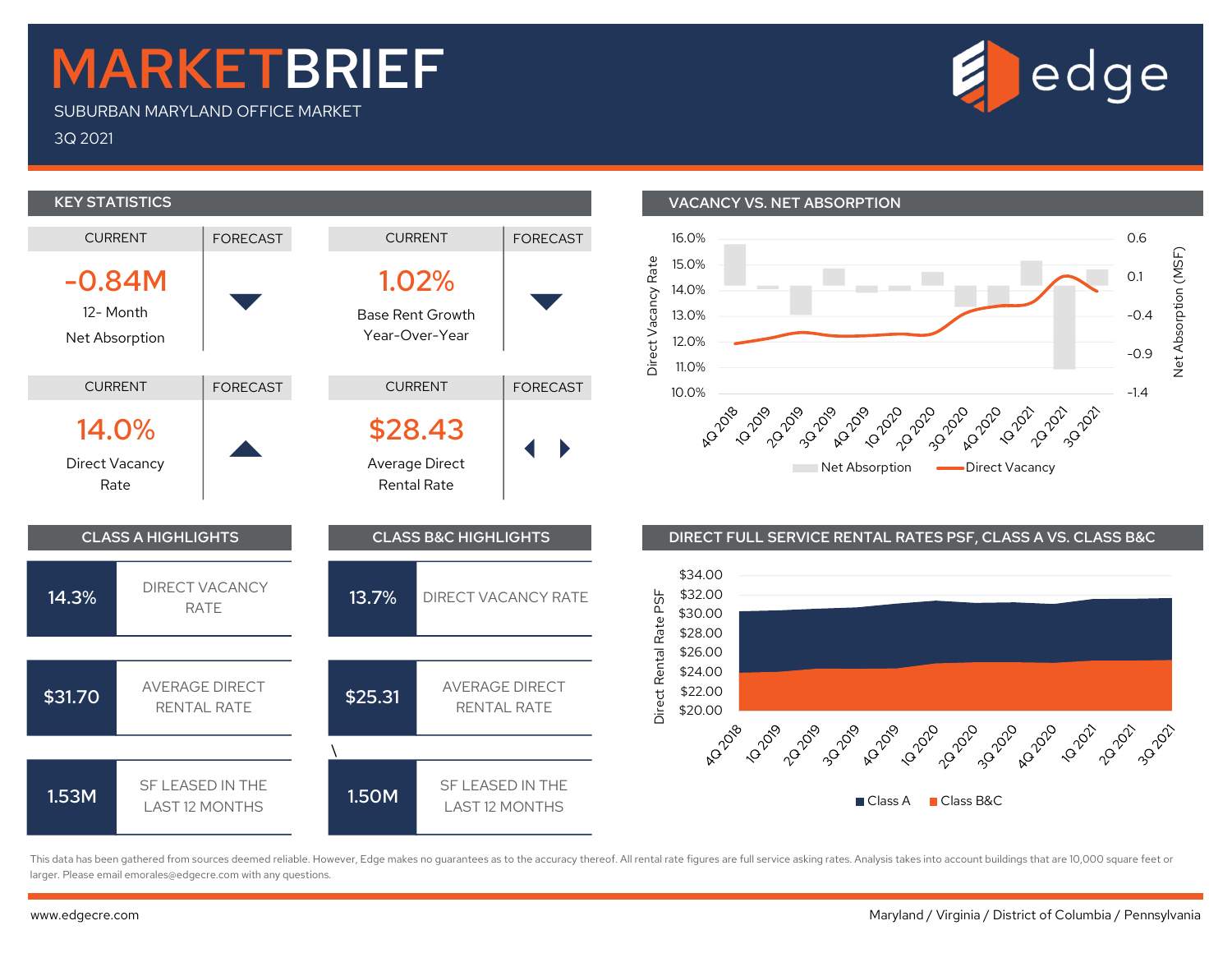## MARKETBRIEF

SUBURBAN MARYLAND OFFICE MARKET

3Q 2021



This data has been gathered from sources deemed reliable. However, Edge makes no guarantees as to the accuracy thereof. All rental rate figures are full service asking rates. Analysis takes into account buildings that are larger. Please email emorales@edgecre.com with any questions.